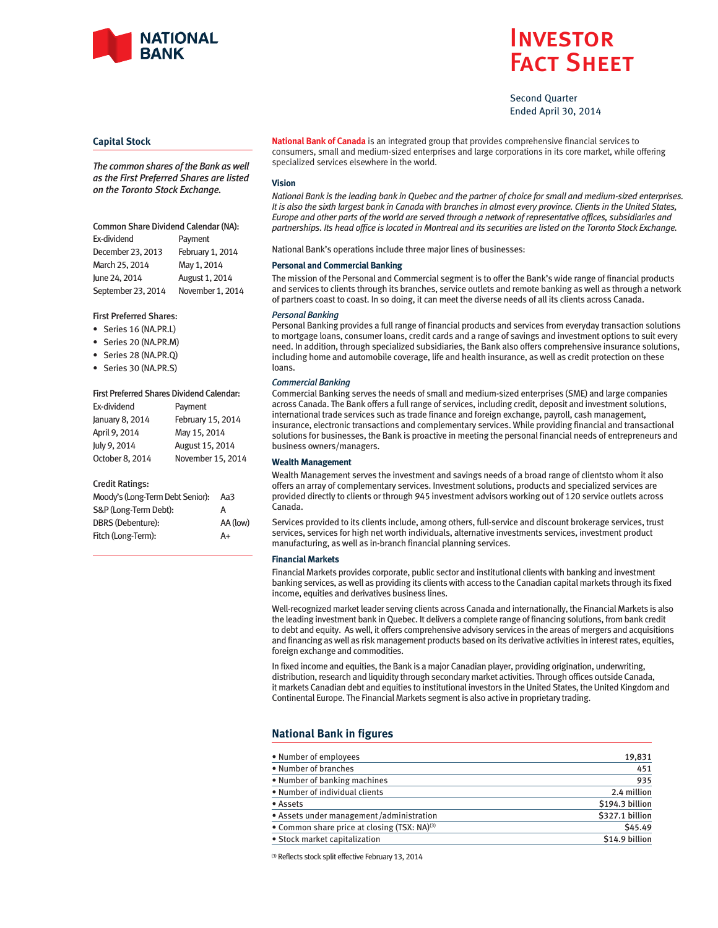

# **INVESTOR** Fact Sheet

Second Quarter Ended April 30, 2014

## **Capital Stock**

*The common shares of the Bank as well as the First Preferred Shares are listed on the Toronto Stock Exchange.*

# Common Share Dividend Calendar (NA): Ex-dividend Payment December 23, 2013 February 1, 2014 March 25, 2014 May 1, 2014 June 24, 2014 <br>
August 1, 2014

September 23, 2014 November 1, 2014

#### First Preferred Shares:

- Series 16 (NA.PR.L)
- Series 20 (NA.PR.M)
- Series 28 (NA.PR.Q)
- Series 30 (NA.PR.S)

#### First Preferred Shares Dividend Calendar:

| Ex-dividend     | Payment           |
|-----------------|-------------------|
| January 8, 2014 | February 15, 2014 |
| April 9, 2014   | May 15, 2014      |
| July 9, 2014    | August 15, 2014   |
| October 8, 2014 | November 15, 2014 |

#### Credit Ratings:

| Moody's (Long-Term Debt Senior): | Aa3      |
|----------------------------------|----------|
| S&P (Long-Term Debt):            | А        |
| <b>DBRS</b> (Debenture):         | AA (low) |
| Fitch (Long-Term):               | A+       |

**National Bank of Canada** is an integrated group that provides comprehensive financial services to consumers, small and medium-sized enterprises and large corporations in its core market, while offering specialized services elsewhere in the world.

#### **Vision**

*National Bank is the leading bank in Quebec and the partner of choice for small and medium-sized enterprises. It is also the sixth largest bank in Canada with branches in almost every province. Clients in the United States, Europe and other parts of the world are served through a network of representative offices, subsidiaries and partnerships. Its head office is located in Montreal and its securities are listed on the Toronto Stock Exchange.*

National Bank's operations include three major lines of businesses:

#### **Personal and Commercial Banking**

The mission of the Personal and Commercial segment is to offer the Bank's wide range of financial products and services to clients through its branches, service outlets and remote banking as well as through a network of partners coast to coast. In so doing, it can meet the diverse needs of all its clients across Canada.

## *Personal Banking*

Personal Banking provides a full range of financial products and services from everyday transaction solutions to mortgage loans, consumer loans, credit cards and a range of savings and investment options to suit every need. In addition, through specialized subsidiaries, the Bank also offers comprehensive insurance solutions, including home and automobile coverage, life and health insurance, as well as credit protection on these loans.

#### *Commercial Banking*

Commercial Banking serves the needs of small and medium-sized enterprises (SME) and large companies across Canada. The Bank offers a full range of services, including credit, deposit and investment solutions, international trade services such as trade finance and foreign exchange, payroll, cash management, insurance, electronic transactions and complementary services. While providing financial and transactional solutions for businesses, the Bank is proactive in meeting the personal financial needs of entrepreneurs and business owners/managers.

#### **Wealth Management**

Wealth Management serves the investment and savings needs of a broad range of clientsto whom it also offers an array of complementary services. Investment solutions, products and specialized services are provided directly to clients or through 945 investment advisors working out of 120 service outlets across Canada.

Services provided to its clients include, among others, full-service and discount brokerage services, trust services, services for high net worth individuals, alternative investments services, investment product manufacturing, as well as in-branch financial planning services.

### **Financial Markets**

Financial Markets provides corporate, public sector and institutional clients with banking and investment banking services, as well as providing its clients with access to the Canadian capital markets through its fixed income, equities and derivatives business lines.

Well-recognized market leader serving clients across Canada and internationally, the Financial Markets is also the leading investment bank in Quebec. It delivers a complete range of financing solutions, from bank credit to debt and equity. As well, it offers comprehensive advisory services in the areas of mergers and acquisitions and financing as well as risk management products based on its derivative activities in interest rates, equities, foreign exchange and commodities.

In fixed income and equities, the Bank is a major Canadian player, providing origination, underwriting, distribution, research and liquidity through secondary market activities. Through offices outside Canada, it markets Canadian debt and equities to institutional investors in the United States, the United Kingdom and Continental Europe. The Financial Markets segment is also active in proprietary trading.

# **National Bank in figures**

| • Number of employees                                    | 19,831          |
|----------------------------------------------------------|-----------------|
| • Number of branches                                     | 451             |
| • Number of banking machines                             | 935             |
| • Number of individual clients                           | 2.4 million     |
| • Assets                                                 | \$194.3 billion |
| • Assets under management/administration                 | \$327.1 billion |
| • Common share price at closing (TSX: NA) <sup>(3)</sup> | \$45.49         |
| • Stock market capitalization                            | \$14.9 billion  |

(3) Reflects stock split effective February 13, 2014